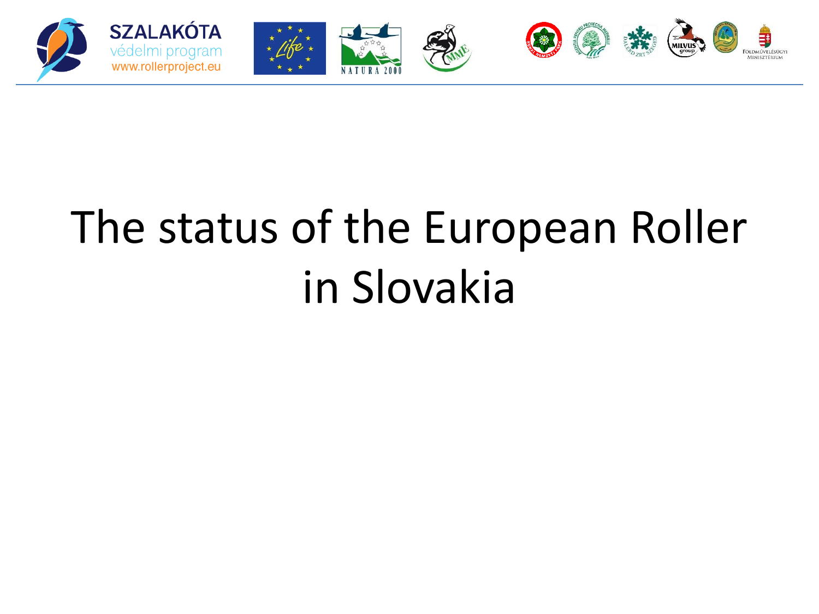

## The status of the European Roller in Slovakia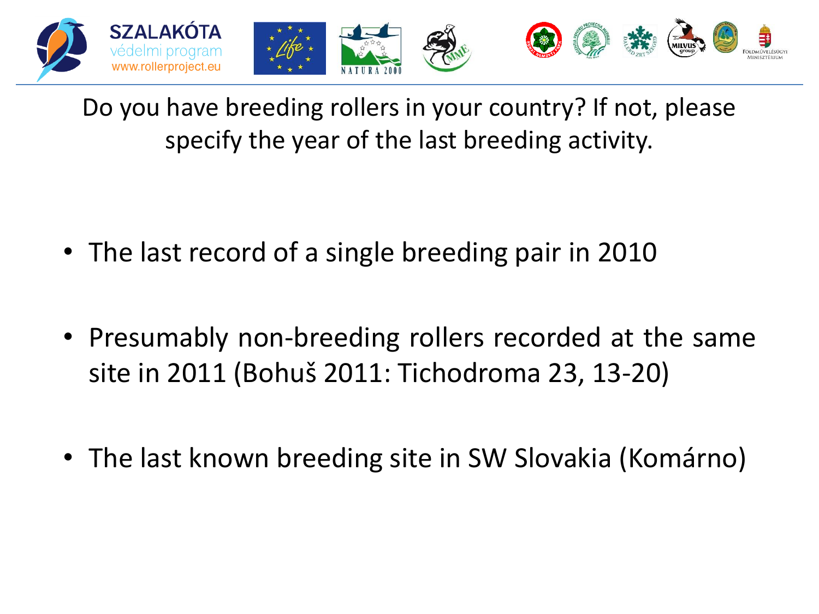

Do you have breeding rollers in your country? If not, please specify the year of the last breeding activity.

- The last record of a single breeding pair in 2010
- Presumably non-breeding rollers recorded at the same site in 2011 (Bohuš 2011: Tichodroma 23, 13-20)
- The last known breeding site in SW Slovakia (Komárno)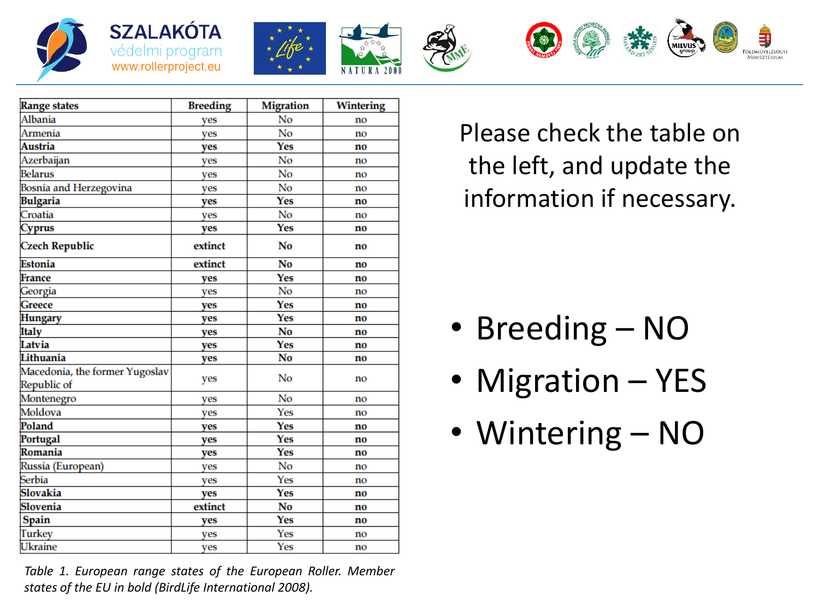







LDMÚVELÉSÜGYI



*Table 1. European range states of the European Roller. Member states of the EU in bold (BirdLife International 2008).*

Please check the table on the left, and update the information if necessary.

- Breeding NO
- Migration YES
- Wintering NO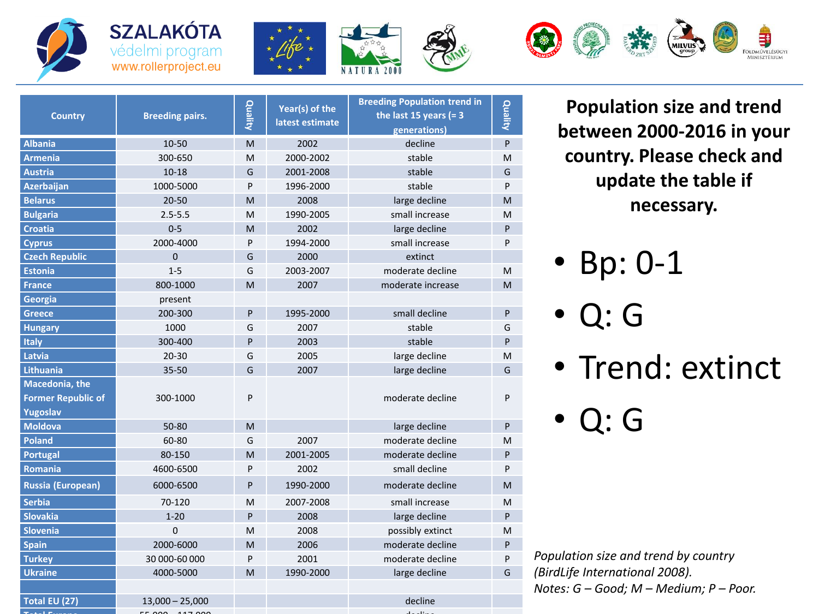







| <b>Country</b>                                          | <b>Breeding pairs.</b> | Quality | Year(s) of the<br>latest estimate | <b>Breeding Population trend in</b><br>the last 15 years (= $3$<br>generations) | Quality   |
|---------------------------------------------------------|------------------------|---------|-----------------------------------|---------------------------------------------------------------------------------|-----------|
| <b>Albania</b>                                          | 10-50                  | M       | 2002                              | decline                                                                         | ${\sf P}$ |
| <b>Armenia</b>                                          | 300-650                | M       | 2000-2002                         | stable                                                                          | M         |
| <b>Austria</b>                                          | $10 - 18$              | G       | 2001-2008                         | stable                                                                          | G         |
| <b>Azerbaijan</b>                                       | 1000-5000              | P       | 1996-2000                         | stable                                                                          | P         |
| <b>Belarus</b>                                          | $20 - 50$              | M       | 2008                              | large decline                                                                   | M         |
| <b>Bulgaria</b>                                         | $2.5 - 5.5$            | M       | 1990-2005                         | small increase                                                                  | M         |
| <b>Croatia</b>                                          | $0 - 5$                | M       | 2002                              | large decline                                                                   | P         |
| <b>Cyprus</b>                                           | 2000-4000              | P       | 1994-2000                         | small increase                                                                  | P         |
| <b>Czech Republic</b>                                   | $\Omega$               | G       | 2000                              | extinct                                                                         |           |
| <b>Estonia</b>                                          | $1 - 5$                | G       | 2003-2007                         | moderate decline                                                                | M         |
| <b>France</b>                                           | 800-1000               | M       | 2007                              | moderate increase                                                               | M         |
| Georgia                                                 | present                |         |                                   |                                                                                 |           |
| Greece                                                  | 200-300                | P       | 1995-2000                         | small decline                                                                   | P         |
| <b>Hungary</b>                                          | 1000                   | G       | 2007                              | stable                                                                          | G         |
| <b>Italy</b>                                            | 300-400                | P       | 2003                              | stable                                                                          | P         |
| Latvia                                                  | $20 - 30$              | G       | 2005                              | large decline                                                                   | M         |
| <b>Lithuania</b>                                        | 35-50                  | G       | 2007                              | large decline                                                                   | G         |
| Macedonia, the<br><b>Former Republic of</b><br>Yugoslav | 300-1000               | P       |                                   | moderate decline                                                                | P         |
| <b>Moldova</b>                                          | 50-80                  | M       |                                   | large decline                                                                   | P         |
| <b>Poland</b>                                           | 60-80                  | G       | 2007                              | moderate decline                                                                | M         |
| <b>Portugal</b>                                         | 80-150                 | M       | 2001-2005                         | moderate decline                                                                | P         |
| <b>Romania</b>                                          | 4600-6500              | P       | 2002                              | small decline                                                                   | P         |
| <b>Russia (European)</b>                                | 6000-6500              | P       | 1990-2000                         | moderate decline                                                                | M         |
| <b>Serbia</b>                                           | 70-120                 | M       | 2007-2008                         | small increase                                                                  | M         |
| <b>Slovakia</b>                                         | $1 - 20$               | P       | 2008                              | large decline                                                                   | P         |
| <b>Slovenia</b>                                         | $\overline{0}$         | M       | 2008                              | possibly extinct                                                                | Μ         |
| <b>Spain</b>                                            | 2000-6000              | M       | 2006                              | moderate decline                                                                | ${\sf P}$ |
| <b>Turkey</b>                                           | 30 000-60 000          | P       | 2001                              | moderate decline                                                                | P         |
| <b>Ukraine</b>                                          | 4000-5000              | M       | 1990-2000                         | large decline                                                                   | G         |
| Total EU (27)                                           | $13,000 - 25,000$      |         |                                   | decline                                                                         |           |

**Total Europe** 55,000 – 117,000 decline

**Population size and trend between 2000-2016 in your country. Please check and update the table if necessary.** 

- Bp: 0-1
- Q: G
- Trend: extinct
- Q: G

*Population size and trend by country (BirdLife International 2008). Notes: G – Good; M – Medium; P – Poor.*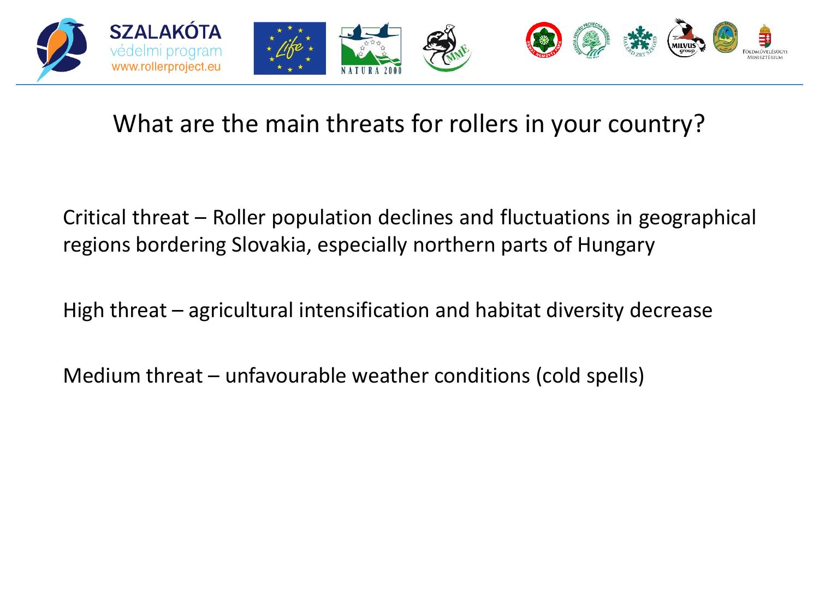

## What are the main threats for rollers in your country?

Critical threat – Roller population declines and fluctuations in geographical regions bordering Slovakia, especially northern parts of Hungary

High threat – agricultural intensification and habitat diversity decrease

Medium threat – unfavourable weather conditions (cold spells)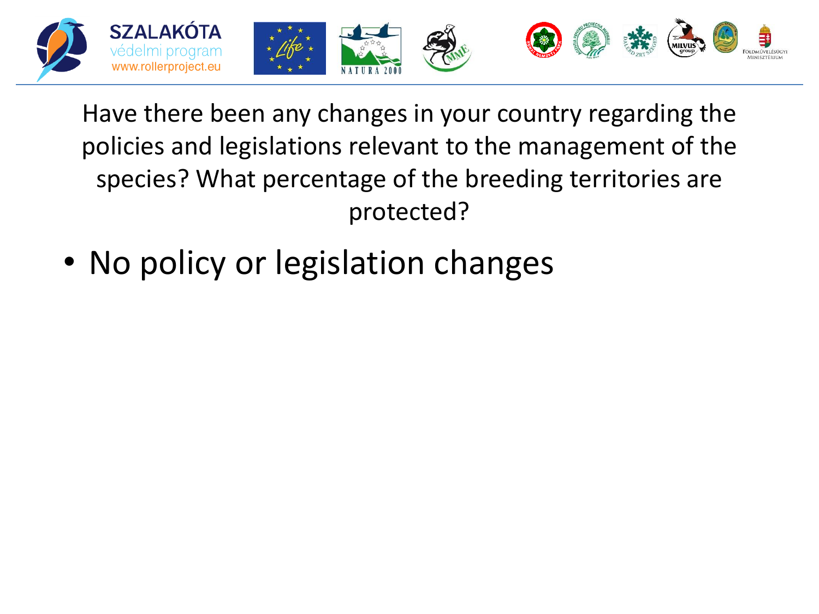

Have there been any changes in your country regarding the policies and legislations relevant to the management of the species? What percentage of the breeding territories are protected?

• No policy or legislation changes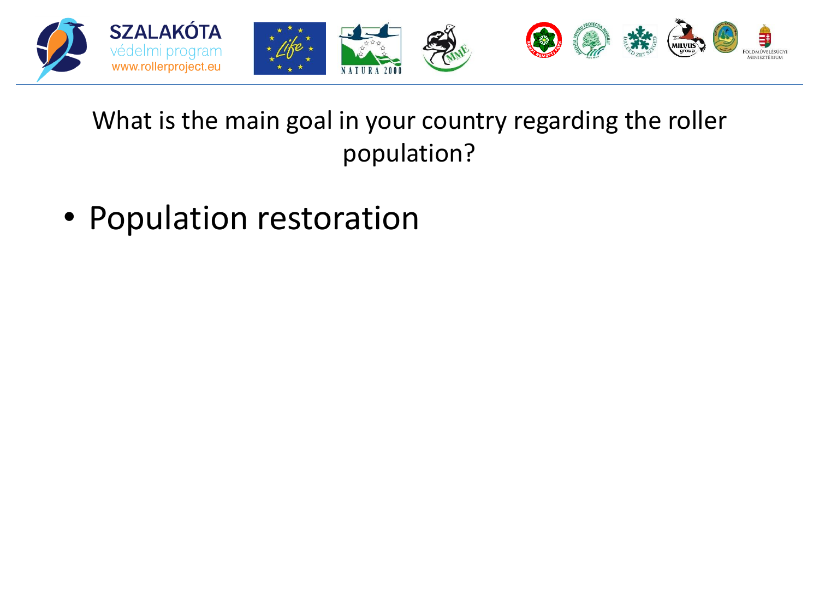

## What is the main goal in your country regarding the roller population?

• Population restoration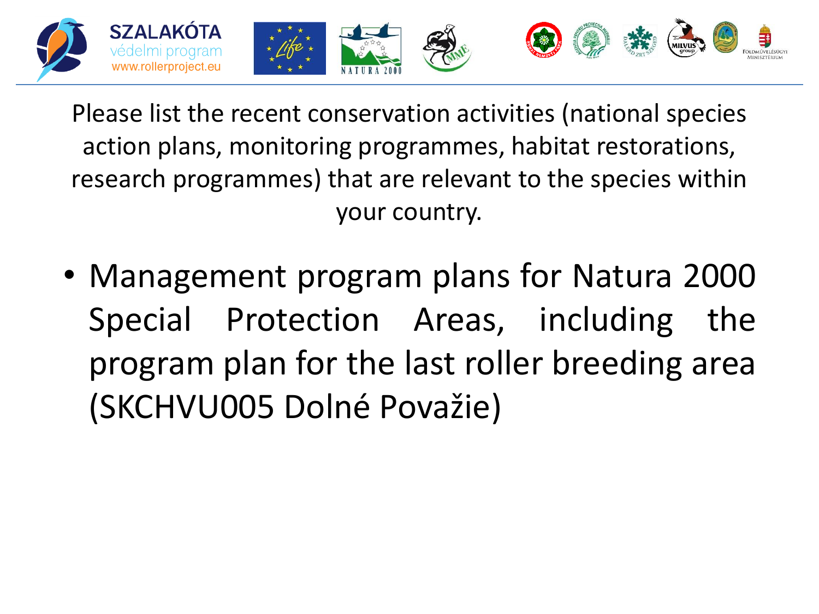

Please list the recent conservation activities (national species action plans, monitoring programmes, habitat restorations, research programmes) that are relevant to the species within your country.

• Management program plans for Natura 2000 Special Protection Areas, including the program plan for the last roller breeding area (SKCHVU005 Dolné Považie)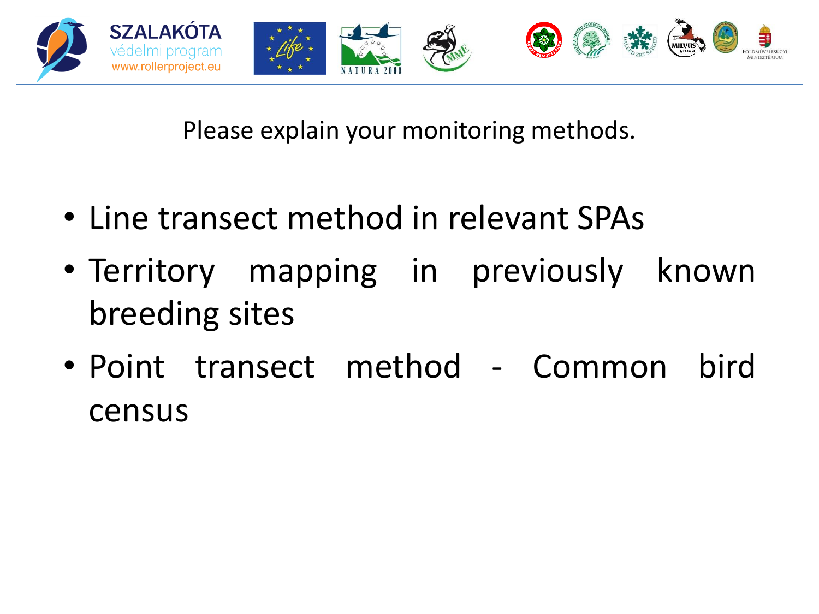

Please explain your monitoring methods.

- Line transect method in relevant SPAs
- Territory mapping in previously known breeding sites
- Point transect method Common bird census